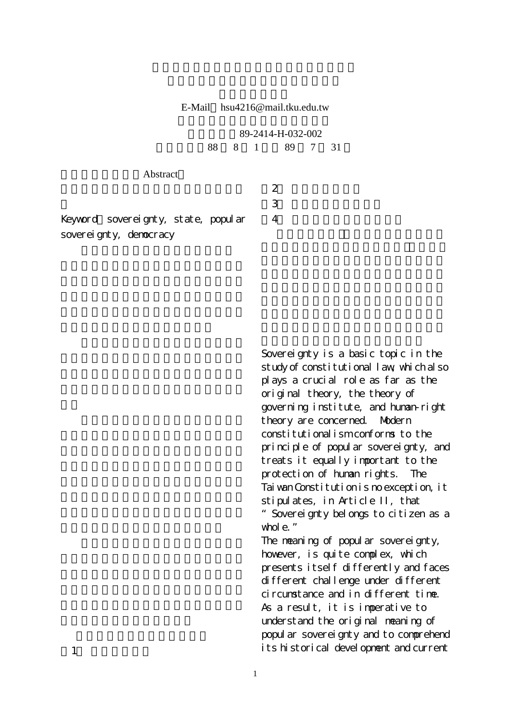E-Mail hsu4216@mail.tku.edu.tw

|                                     | 89-2414-H-032-002 |  |                |   |  |  |
|-------------------------------------|-------------------|--|----------------|---|--|--|
|                                     |                   |  | 88 8 1 89 7 31 |   |  |  |
|                                     |                   |  |                |   |  |  |
| Abstract                            |                   |  |                |   |  |  |
|                                     |                   |  |                | 2 |  |  |
|                                     |                   |  |                | 3 |  |  |
| Keyvord sovereignty, state, popular |                   |  |                | 4 |  |  |
| sovereignty, democracy              |                   |  |                |   |  |  |

Sovereignty is a basic topic in the study of constitutional law, which also plays a crucial role as far as the original theory, the theory of governing institute, and human-right theory are concerned. Modern constitutionalism conforms to the principle of popular sovereignty, and treats it equally important to the protection of human rights. The Tai wan Constitution is no exception, it stipulates, in Article II, that "Sovereignty belongs to citizen as a whole."

The meaning of popular sovereignty, however, is quite complex, which presents itself differently and faces different challenge under different circumstance and in different time. As a result, it is imperative to understand the original meaning of popul ar sovereignty and to comprehend its historical development and current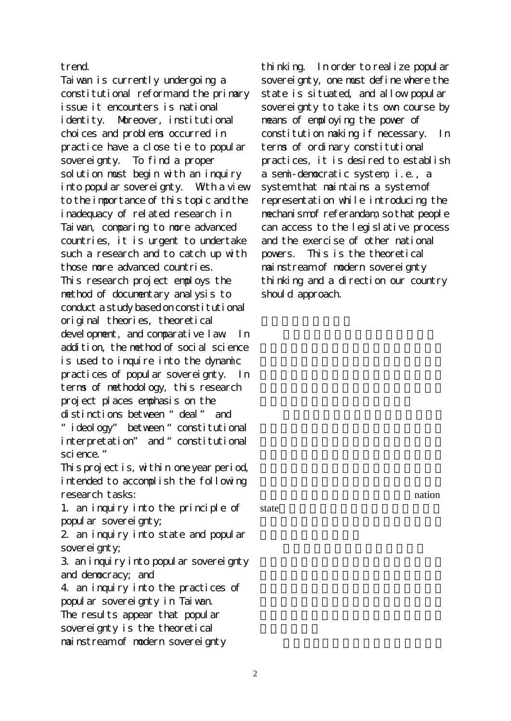## trend.

Taiwan is currently undergoing a constitutional reform and the primary issue it encounters is national identity. Moreover, institutional choices and problems occurred in practice have a close tie to popular sovereignty. To find a proper solution must begin with an inquiry into popular sovereignty. With a view to the importance of this topic and the inadequacy of related research in Taiwan, comparing to more advanced countries, it is urgent to undertake such a research and to catch up with those more advanced countries. This research project employs the method of documentary analysis to conduct a study based on constitutional original theories, theoretical devel opment, and comparative law In addition, the method of social science is used to inquire into the dynamic practices of popular sovereignty. In terms of methodology, this research project places emphasis on the distinctions between "deal" and "ideology" between "constitutional interpretation" and "constitutional sci ence." This project is, within one year period, intended to accomplish the following research tasks:

1. an inquiry into the principle of popular sovereignty;

2. an inquiry into state and popular soverei anty;

3. an inquiry into popular sovereignty and democracy; and

4. an inquiry into the practices of popular sovereignty in Taiwan. The results appear that popular sovereignty is the theoretical mainstream of modern sovereignty

thinking. In order to realize popular sovereignty, one must define where the state is situated, and allow popular sovereignty to take its own course by means of employing the power of constitution making if necessary. In terms of ordinary constitutional practices, it is desired to establish a semi-democratic system, i.e., a system that maintains a system of representation while introducing the mechanism of referandam, so that people can access to the legislative process and the exercise of other national powers. This is the theoretical mainstream of modern sovereignty thinking and a direction our country should approach.

state $\blacksquare$ 

nation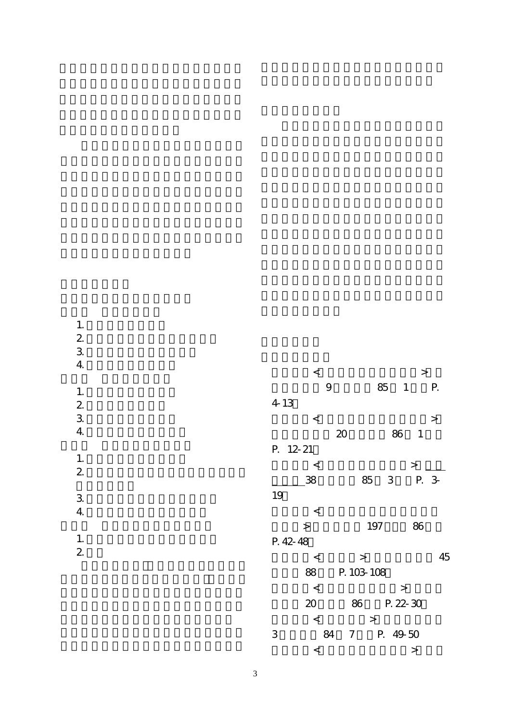1.  $\blacksquare$  $2 \angle$  $3.$ 4.國民主權的現代課題 1.  $\blacksquare$  $2 \angle$  $3.$ 4.多元社會中的國民主權 1.國民主權與民主類型論  $2$  $3.$  $4.$ 1.  $\blacksquare$  $\frac{1}{2}$ 

| $\,<$    |         |            |             | $\rm{>}$ |           |
|----------|---------|------------|-------------|----------|-----------|
|          | 9       | 85         | 1           |          | Р.        |
| 4-13     |         |            |             |          |           |
| $\,<$    |         |            |             |          | $\, > \,$ |
|          | 20      |            | 86          | 1        |           |
| P. 12-21 |         |            |             |          |           |
| $\,<$    |         |            |             | $\rm{>}$ |           |
| 38       |         | 85         | $\mathsf 3$ | P. 3-    |           |
| 19       |         |            |             |          |           |
| $\,<$    |         |            |             |          |           |
| $\geq$   |         | 197        |             | 86       |           |
| P. 42-48 |         |            |             |          |           |
| $\,<$    |         | $\geq$     |             |          | 45        |
| 88       |         | P. 103-108 |             |          |           |
| $\,<$    |         |            | $\rm{>}$    |          |           |
| 20       | 86      |            | P. 22-30    |          |           |
| $\lt$    |         | $\geq$     |             |          |           |
| 3        | 7<br>84 |            | 49-50<br>P. |          |           |
| $\lt$    |         |            |             | $\geq$   |           |